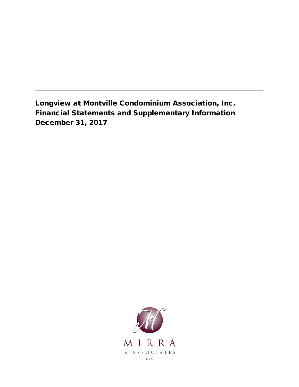Longview at Montville Condominium Association, Inc. Financial Statements and Supplementary Information December 31, 2017

**\_\_\_\_\_\_\_\_\_\_\_\_\_\_\_\_\_\_\_\_\_\_\_\_\_\_\_\_\_\_\_\_\_\_\_\_\_\_\_\_\_\_\_\_\_\_\_\_\_\_\_\_\_\_\_\_\_\_\_\_\_\_\_\_\_\_\_\_\_\_**

**\_\_\_\_\_\_\_\_\_\_\_\_\_\_\_\_\_\_\_\_\_\_\_\_\_\_\_\_\_\_\_\_\_\_\_\_\_\_\_\_\_\_\_\_\_\_\_\_\_\_\_\_\_\_\_\_\_\_\_\_\_\_\_\_\_\_\_\_\_\_**

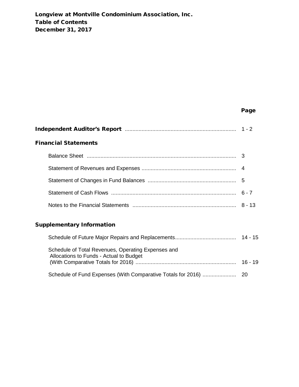#### **Page 2018 Page 2018 Page 2018**

| <b>Independent Auditor's Report machinesis and continuum control of 1-2</b>                   |  |
|-----------------------------------------------------------------------------------------------|--|
| <b>Financial Statements</b>                                                                   |  |
|                                                                                               |  |
|                                                                                               |  |
|                                                                                               |  |
|                                                                                               |  |
|                                                                                               |  |
| <b>Supplementary Information</b>                                                              |  |
|                                                                                               |  |
| Schedule of Total Revenues, Operating Expenses and<br>Allocations to Funds - Actual to Budget |  |
|                                                                                               |  |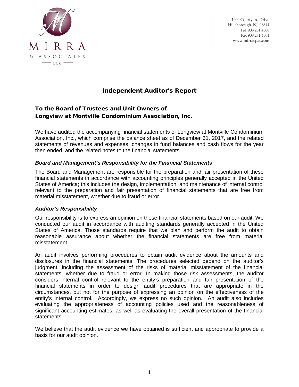

1000 Courtyard Drive Hillsborough, NJ 08844 Tel 908.281.4500 Fax 908.281.4504 www.mirracpas.com

# Independent Auditor's Report

## To the Board of Trustees and Unit Owners of Longview at Montville Condominium Association, Inc.

We have audited the accompanying financial statements of Longview at Montville Condominium Association, Inc., which comprise the balance sheet as of December 31, 2017, and the related statements of revenues and expenses, changes in fund balances and cash flows for the year then ended, and the related notes to the financial statements.

## *Board and Management's Responsibility for the Financial Statements*

The Board and Management are responsible for the preparation and fair presentation of these financial statements in accordance with accounting principles generally accepted in the United States of America; this includes the design, implementation, and maintenance of internal control relevant to the preparation and fair presentation of financial statements that are free from material misstatement, whether due to fraud or error.

### *Auditor's Responsibility*

Our responsibility is to express an opinion on these financial statements based on our audit. We conducted our audit in accordance with auditing standards generally accepted in the United States of America. Those standards require that we plan and perform the audit to obtain reasonable assurance about whether the financial statements are free from material misstatement.

An audit involves performing procedures to obtain audit evidence about the amounts and disclosures in the financial statements. The procedures selected depend on the auditor's judgment, including the assessment of the risks of material misstatement of the financial statements, whether due to fraud or error. In making those risk assessments, the auditor considers internal control relevant to the entity's preparation and fair presentation of the financial statements in order to design audit procedures that are appropriate in the circumstances, but not for the purpose of expressing an opinion on the effectiveness of the entity's internal control. Accordingly, we express no such opinion. An audit also includes evaluating the appropriateness of accounting policies used and the reasonableness of significant accounting estimates, as well as evaluating the overall presentation of the financial statements.

We believe that the audit evidence we have obtained is sufficient and appropriate to provide a basis for our audit opinion.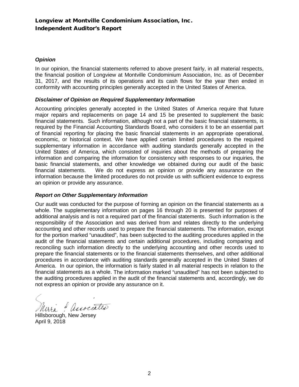## Longview at Montville Condominium Association, Inc. Independent Auditor's Report

### *Opinion*

In our opinion, the financial statements referred to above present fairly, in all material respects, the financial position of Longview at Montville Condominium Association, Inc. as of December 31, 2017, and the results of its operations and its cash flows for the year then ended in conformity with accounting principles generally accepted in the United States of America.

#### *Disclaimer of Opinion on Required Supplementary Information*

Accounting principles generally accepted in the United States of America require that future major repairs and replacements on page 14 and 15 be presented to supplement the basic financial statements. Such information, although not a part of the basic financial statements, is required by the Financial Accounting Standards Board, who considers it to be an essential part of financial reporting for placing the basic financial statements in an appropriate operational, economic, or historical context. We have applied certain limited procedures to the required supplementary information in accordance with auditing standards generally accepted in the United States of America, which consisted of inquiries about the methods of preparing the information and comparing the information for consistency with responses to our inquiries, the basic financial statements, and other knowledge we obtained during our audit of the basic financial statements. We do not express an opinion or provide any assurance on the information because the limited procedures do not provide us with sufficient evidence to express an opinion or provide any assurance.

### *Report on Other Supplementary Information*

Our audit was conducted for the purpose of forming an opinion on the financial statements as a whole. The supplementary information on pages 16 through 20 is presented for purposes of additional analysis and is not a required part of the financial statements. Such information is the responsibility of the Association and was derived from and relates directly to the underlying accounting and other records used to prepare the financial statements. The information, except for the portion marked "unaudited", has been subjected to the auditing procedures applied in the audit of the financial statements and certain additional procedures, including comparing and reconciling such information directly to the underlying accounting and other records used to prepare the financial statements or to the financial statements themselves, and other additional procedures in accordance with auditing standards generally accepted in the United States of America. In our opinion, the information is fairly stated in all material respects in relation to the financial statements as a whole. The information marked "unaudited" has not been subjected to the auditing procedures applied in the audit of the financial statements and, accordingly, we do not express an opinion or provide any assurance on it.

Urra : Association

Hillsborough, New Jersey April 9, 2018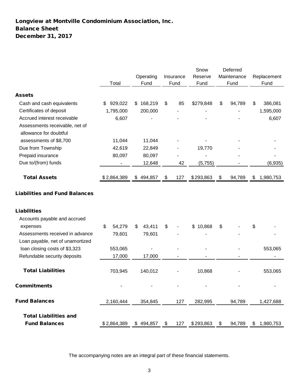# Longview at Montville Condominium Association, Inc. December 31, 2017 Balance Sheet

|                                                               | Total         | Operating<br>Fund | Insurance<br>Fund    | Snow<br>Reserve<br>Fund | Deferred<br>Maintenance<br>Fund | Replacement<br>Fund |
|---------------------------------------------------------------|---------------|-------------------|----------------------|-------------------------|---------------------------------|---------------------|
| <b>Assets</b>                                                 |               |                   |                      |                         |                                 |                     |
| Cash and cash equivalents                                     | 929,022<br>\$ | \$168,219         | \$<br>85             | \$279,848               | 94,789<br>\$                    | 386,081<br>\$       |
| Certificates of deposit                                       | 1,795,000     | 200,000           |                      |                         |                                 | 1,595,000           |
| Accrued interest receivable                                   | 6,607         |                   |                      |                         |                                 | 6,607               |
| Assessments receivable, net of                                |               |                   |                      |                         |                                 |                     |
| allowance for doubtful                                        |               |                   |                      |                         |                                 |                     |
| assessments of \$8,700                                        | 11,044        | 11,044            |                      |                         |                                 |                     |
| Due from Township                                             | 42,619        | 22,849            |                      | 19,770                  |                                 |                     |
| Prepaid insurance                                             | 80,097        | 80,097            |                      |                         |                                 |                     |
| Due to/(from) funds                                           |               | 12,648            | 42                   | (5, 755)                |                                 | (6,935)             |
|                                                               |               |                   |                      |                         |                                 |                     |
| <b>Total Assets</b>                                           | \$2,864,389   | \$494,857         | 127<br>\$            | \$293,863               | 94,789<br>\$                    | 1,980,753<br>\$     |
| <b>Liabilities and Fund Balances</b><br><b>Liabilities</b>    |               |                   |                      |                         |                                 |                     |
|                                                               |               |                   |                      |                         |                                 |                     |
| Accounts payable and accrued                                  |               |                   |                      |                         |                                 |                     |
| expenses                                                      | \$<br>54,279  | 43,411<br>\$      | \$<br>$\blacksquare$ | \$10,868                | \$                              | \$                  |
| Assessments received in advance                               | 79,601        | 79,601            |                      |                         |                                 |                     |
| Loan payable, net of unamortized                              | 553,065       |                   |                      |                         |                                 |                     |
| loan closing costs of \$3,323<br>Refundable security deposits | 17,000        | 17,000            |                      |                         |                                 | 553,065             |
|                                                               |               |                   |                      |                         |                                 |                     |
| <b>Total Liabilities</b>                                      | 703,945       | 140,012           |                      | 10,868                  |                                 | 553,065             |
| <b>Commitments</b>                                            |               |                   |                      |                         |                                 |                     |
| <b>Fund Balances</b>                                          | 2,160,444     | 354,845           | 127                  | 282,995                 | 94,789                          | 1,427,688           |
| <b>Total Liabilities and</b>                                  |               |                   |                      |                         |                                 |                     |
| <b>Fund Balances</b>                                          | \$2,864,389   | \$494,857         | 127<br>\$            | \$293,863               | 94,789<br>\$                    | \$1,980,753         |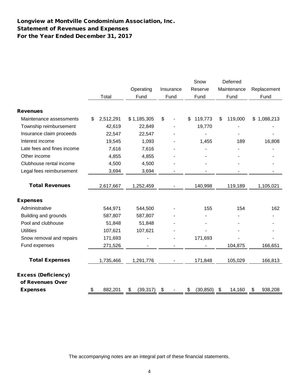## Longview at Montville Condominium Association, Inc. For the Year Ended December 31, 2017 Statement of Revenues and Expenses

|                            |                 |                          |                          | Snow            | Deferred      |               |
|----------------------------|-----------------|--------------------------|--------------------------|-----------------|---------------|---------------|
|                            |                 | Operating                | Insurance                | Reserve         | Maintenance   | Replacement   |
|                            | Total           | Fund                     | Fund                     | Fund            | Fund          | Fund          |
|                            |                 |                          |                          |                 |               |               |
| <b>Revenues</b>            |                 |                          |                          |                 |               |               |
| Maintenance assessments    | 2,512,291<br>\$ | \$1,185,305              | \$                       | \$<br>119,773   | 119,000<br>\$ | \$1,088,213   |
| Township reimbursement     | 42,619          | 22,849                   |                          | 19,770          |               |               |
| Insurance claim proceeds   | 22,547          | 22,547                   |                          |                 |               |               |
| Interest income            | 19,545          | 1,093                    |                          | 1,455           | 189           | 16,808        |
| Late fees and fines income | 7,616           | 7,616                    |                          |                 |               |               |
| Other income               | 4,855           | 4,855                    |                          |                 |               |               |
| Clubhouse rental income    | 4,500           | 4,500                    |                          |                 |               |               |
| Legal fees reimbursement   | 3,694           | 3,694                    | $\overline{\phantom{a}}$ |                 |               |               |
| <b>Total Revenues</b>      | 2,617,667       | 1,252,459                |                          | 140,998         | 119,189       | 1,105,021     |
| <b>Expenses</b>            |                 |                          |                          |                 |               |               |
| Administrative             | 544,971         | 544,500                  |                          | 155             | 154           | 162           |
| Building and grounds       | 587,807         | 587,807                  |                          |                 |               |               |
| Pool and clubhouse         | 51,848          | 51,848                   |                          |                 |               |               |
| <b>Utilities</b>           | 107,621         | 107,621                  |                          |                 |               |               |
| Snow removal and repairs   | 171,693         |                          |                          | 171,693         |               |               |
| Fund expenses              | 271,526         | $\overline{\phantom{a}}$ | $\overline{\phantom{a}}$ |                 | 104,875       | 166,651       |
|                            |                 |                          |                          |                 |               |               |
| <b>Total Expenses</b>      | 1,735,466       | 1,291,776                |                          | 171,848         | 105,029       | 166,813       |
| <b>Excess (Deficiency)</b> |                 |                          |                          |                 |               |               |
| of Revenues Over           |                 |                          |                          |                 |               |               |
| <b>Expenses</b>            | \$<br>882,201   | \$<br>(39, 317)          | \$                       | (30, 850)<br>\$ | 14,160<br>\$  | \$<br>938,208 |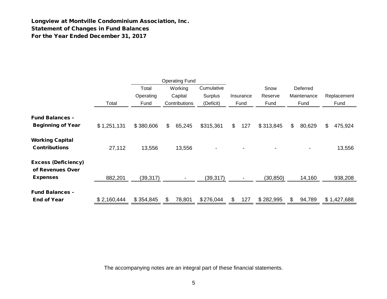## Longview at Montville Condominium Association, Inc. Statement of Changes in Fund Balances For the Year Ended December 31, 2017

|                                                |             | <b>Operating Fund</b> |    |               |            |                |           |           |    |             |    |             |
|------------------------------------------------|-------------|-----------------------|----|---------------|------------|----------------|-----------|-----------|----|-------------|----|-------------|
|                                                |             | Total                 |    | Working       | Cumulative |                |           | Snow      |    | Deferred    |    |             |
|                                                |             | Operating             |    | Capital       | Surplus    |                | Insurance | Reserve   |    | Maintenance |    | Replacement |
|                                                | Total       | Fund                  |    | Contributions | (Deficit)  |                | Fund      | Fund      |    | Fund        |    | Fund        |
| <b>Fund Balances -</b>                         |             |                       |    |               |            |                |           |           |    |             |    |             |
| <b>Beginning of Year</b>                       | \$1,251,131 | \$380,606             | \$ | 65,245        | \$315,361  | $\mathfrak{S}$ | 127       | \$313,845 | \$ | 80,629      | \$ | 475,924     |
| <b>Working Capital</b>                         |             |                       |    |               |            |                |           |           |    |             |    |             |
| <b>Contributions</b>                           | 27,112      | 13,556                |    | 13,556        |            |                |           |           |    |             |    | 13,556      |
| <b>Excess (Deficiency)</b><br>of Revenues Over |             |                       |    |               |            |                |           |           |    |             |    |             |
| <b>Expenses</b>                                | 882,201     | (39, 317)             |    |               | (39, 317)  |                |           | (30, 850) |    | 14,160      |    | 938,208     |
| <b>Fund Balances -</b>                         |             |                       |    |               |            |                |           |           |    |             |    |             |
| <b>End of Year</b>                             | \$2,160,444 | \$354,845             | S. | 78,801        | \$276,044  | \$             | 127       | \$282,995 | \$ | 94,789      |    | \$1,427,688 |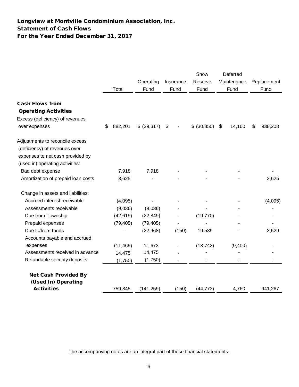## Longview at Montville Condominium Association, Inc. For the Year Ended December 31, 2017 Statement of Cash Flows

|                                    |               |             |           | Snow         | Deferred     |               |
|------------------------------------|---------------|-------------|-----------|--------------|--------------|---------------|
|                                    |               | Operating   | Insurance | Reserve      | Maintenance  | Replacement   |
|                                    | Total         | Fund        | Fund      | Fund         | Fund         | Fund          |
| <b>Cash Flows from</b>             |               |             |           |              |              |               |
| <b>Operating Activities</b>        |               |             |           |              |              |               |
| Excess (deficiency) of revenues    |               |             |           |              |              |               |
| over expenses                      | \$<br>882,201 | \$ (39,317) | \$        | \$ (30, 850) | \$<br>14,160 | \$<br>938,208 |
| Adjustments to reconcile excess    |               |             |           |              |              |               |
| (deficiency) of revenues over      |               |             |           |              |              |               |
| expenses to net cash provided by   |               |             |           |              |              |               |
| (used in) operating activities:    |               |             |           |              |              |               |
| Bad debt expense                   | 7,918         | 7,918       |           |              |              |               |
| Amortization of prepaid loan costs | 3,625         |             |           |              |              | 3,625         |
| Change in assets and liabilities:  |               |             |           |              |              |               |
| Accrued interest receivable        | (4,095)       |             |           |              |              | (4,095)       |
| Assessments receivable             | (9,036)       | (9,036)     |           |              |              |               |
| Due from Township                  | (42, 619)     | (22, 849)   |           | (19, 770)    |              |               |
| Prepaid expenses                   | (79, 405)     | (79, 405)   |           |              |              |               |
| Due to/from funds                  |               | (22,968)    | (150)     | 19,589       |              | 3,529         |
| Accounts payable and accrued       |               |             |           |              |              |               |
| expenses                           | (11, 469)     | 11,673      |           | (13, 742)    | (9,400)      |               |
| Assessments received in advance    | 14,475        | 14,475      |           |              |              |               |
| Refundable security deposits       | (1,750)       | (1,750)     |           |              |              |               |
| <b>Net Cash Provided By</b>        |               |             |           |              |              |               |
| (Used In) Operating                |               |             |           |              |              |               |
| <b>Activities</b>                  | 759,845       | (141, 259)  | (150)     | (44, 773)    | 4,760        | 941,267       |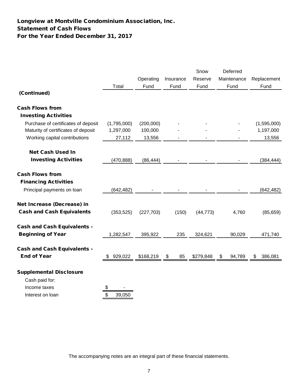## Statement of Cash Flows Longview at Montville Condominium Association, Inc. For the Year Ended December 31, 2017

|                                     |              |            |           | Snow      | Deferred     |               |
|-------------------------------------|--------------|------------|-----------|-----------|--------------|---------------|
|                                     |              | Operating  | Insurance | Reserve   | Maintenance  | Replacement   |
|                                     | Total        | Fund       | Fund      | Fund      | Fund         | Fund          |
| (Continued)                         |              |            |           |           |              |               |
| <b>Cash Flows from</b>              |              |            |           |           |              |               |
| <b>Investing Activities</b>         |              |            |           |           |              |               |
| Purchase of certificates of deposit | (1,795,000)  | (200,000)  |           |           |              | (1,595,000)   |
| Maturity of certificates of deposit | 1,297,000    | 100,000    |           |           |              | 1,197,000     |
| Working capital contributions       | 27,112       | 13,556     |           |           |              | 13,556        |
| <b>Net Cash Used In</b>             |              |            |           |           |              |               |
| <b>Investing Activities</b>         | (470, 888)   | (86, 444)  |           |           |              | (384, 444)    |
| <b>Cash Flows from</b>              |              |            |           |           |              |               |
| <b>Financing Activities</b>         |              |            |           |           |              |               |
| Principal payments on loan          | (642, 482)   |            |           |           |              | (642, 482)    |
| Net Increase (Decrease) in          |              |            |           |           |              |               |
| <b>Cash and Cash Equivalents</b>    | (353, 525)   | (227, 703) | (150)     | (44, 773) | 4,760        | (85,659)      |
| <b>Cash and Cash Equivalents -</b>  |              |            |           |           |              |               |
| <b>Beginning of Year</b>            | 1,282,547    | 395,922    | 235       | 324,621   | 90,029       | 471,740       |
| <b>Cash and Cash Equivalents -</b>  |              |            |           |           |              |               |
| <b>End of Year</b>                  | 929,022      | \$168,219  | \$<br>85  | \$279,848 | \$<br>94,789 | 386,081<br>\$ |
| <b>Supplemental Disclosure</b>      |              |            |           |           |              |               |
| Cash paid for:                      |              |            |           |           |              |               |
| Income taxes                        |              |            |           |           |              |               |
| Interest on loan                    | \$<br>39,050 |            |           |           |              |               |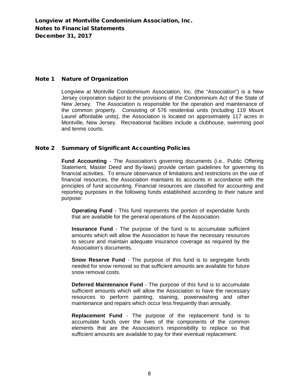### Note 1 Nature of Organization

Longview at Montville Condominium Association, Inc. (the "Association") is a New Jersey corporation subject to the provisions of the Condominium Act of the State of New Jersey. The Association is responsible for the operation and maintenance of the common property. Consisting of 576 residential units (including 119 Mount Laurel affordable units), the Association is located on approximately 117 acres in Montville, New Jersey. Recreational facilities include a clubhouse, swimming pool and tennis courts.

### Note 2 Summary of Significant Accounting Policies

**Fund Accounting** - The Association's governing documents (i.e., Public Offering Statement, Master Deed and By-laws) provide certain guidelines for governing its financial activities. To ensure observance of limitations and restrictions on the use of financial resources, the Association maintains its accounts in accordance with the principles of fund accounting. Financial resources are classified for accounting and reporting purposes in the following funds established according to their nature and purpose:

**Operating Fund** - This fund represents the portion of expendable funds that are available for the general operations of the Association.

**Insurance Fund** - The purpose of the fund is to accumulate sufficient amounts which will allow the Association to have the necessary resources to secure and maintain adequate insurance coverage as required by the Association's documents.

**Snow Reserve Fund** - The purpose of this fund is to segregate funds needed for snow removal so that sufficient amounts are available for future snow removal costs.

**Deferred Maintenance Fund** - The purpose of this fund is to accumulate sufficient amounts which will allow the Association to have the necessary resources to perform painting, staining, powerwashing and other maintenance and repairs which occur less frequently than annually.

**Replacement Fund** - The purpose of the replacement fund is to accumulate funds over the lives of the components of the common elements that are the Association's responsibility to replace so that sufficient amounts are available to pay for their eventual replacement.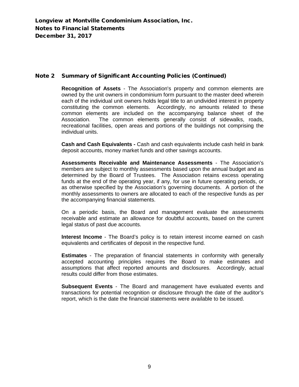## Note 2 Summary of Significant Accounting Policies (Continued)

**Recognition of Assets** - The Association's property and common elements are owned by the unit owners in condominium form pursuant to the master deed wherein each of the individual unit owners holds legal title to an undivided interest in property constituting the common elements. Accordingly, no amounts related to these common elements are included on the accompanying balance sheet of the Association. The common elements generally consist of sidewalks, roads, recreational facilities, open areas and portions of the buildings not comprising the individual units.

**Cash and Cash Equivalents -** Cash and cash equivalents include cash held in bank deposit accounts, money market funds and other savings accounts.

**Assessments Receivable and Maintenance Assessments** - The Association's members are subject to monthly assessments based upon the annual budget and as determined by the Board of Trustees. The Association retains excess operating funds at the end of the operating year, if any, for use in future operating periods, or as otherwise specified by the Association's governing documents. A portion of the monthly assessments to owners are allocated to each of the respective funds as per the accompanying financial statements.

On a periodic basis, the Board and management evaluate the assessments receivable and estimate an allowance for doubtful accounts, based on the current legal status of past due accounts.

**Interest Income** - The Board's policy is to retain interest income earned on cash equivalents and certificates of deposit in the respective fund.

**Estimates** - The preparation of financial statements in conformity with generally accepted accounting principles requires the Board to make estimates and assumptions that affect reported amounts and disclosures. Accordingly, actual results could differ from those estimates.

**Subsequent Events** - The Board and management have evaluated events and transactions for potential recognition or disclosure through the date of the auditor's report, which is the date the financial statements were available to be issued.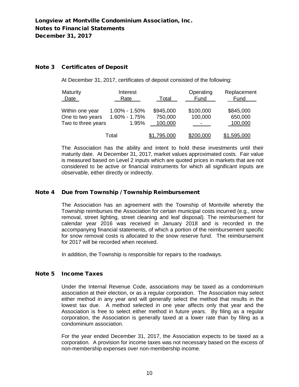## Note 3 Certificates of Deposit

At December 31, 2017, certificates of deposit consisted of the following:

| <b>Maturity</b><br>Date                                   | Interest<br>Rate                            | Total                           | Operating<br>Fund                                | Replacement<br>Fund             |
|-----------------------------------------------------------|---------------------------------------------|---------------------------------|--------------------------------------------------|---------------------------------|
| Within one year<br>One to two years<br>Two to three years | $1.00\% - 1.50\%$<br>1.60% - 1.75%<br>1.95% | \$945,000<br>750,000<br>100,000 | \$100,000<br>100,000<br>$\overline{\phantom{0}}$ | \$845,000<br>650,000<br>100,000 |
|                                                           | Total                                       | <u>1,795,000</u>                | \$200,000                                        | \$1,595,000                     |

The Association has the ability and intent to hold these investments until their maturity date. At December 31, 2017, market values approximated costs. Fair value is measured based on Level 2 inputs which are quoted prices in markets that are not considered to be active or financial instruments for which all significant inputs are observable, either directly or indirectly.

## Note 4 Due from Township / Township Reimbursement

The Association has an agreement with the Township of Montville whereby the Township reimburses the Association for certain municipal costs incurred (e.g., snow removal, street lighting, street cleaning and leaf disposal). The reimbursement for calendar year 2016 was received in January 2018 and is recorded in the accompanying financial statements, of which a portion of the reimbursement specific for snow removal costs is allocated to the snow reserve fund. The reimbursement for 2017 will be recorded when received.

In addition, the Township is responsible for repairs to the roadways.

### Note 5 Income Taxes

Under the Internal Revenue Code, associations may be taxed as a condominium association at their election, or as a regular corporation. The Association may select either method in any year and will generally select the method that results in the lowest tax due. A method selected in one year affects only that year and the Association is free to select either method in future years. By filing as a regular corporation, the Association is generally taxed at a lower rate than by filing as a condominium association.

For the year ended December 31, 2017, the Association expects to be taxed as a corporation. A provision for income taxes was not necessary based on the excess of non-membership expenses over non-membership income.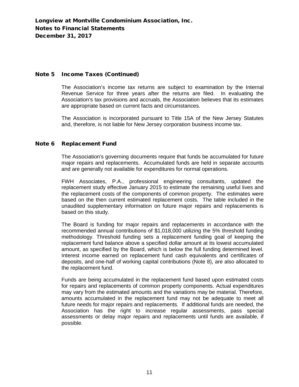### Note 5 Income Taxes (Continued)

The Association's income tax returns are subject to examination by the Internal Revenue Service for three years after the returns are filed. In evaluating the Association's tax provisions and accruals, the Association believes that its estimates are appropriate based on current facts and circumstances.

The Association is incorporated pursuant to Title 15A of the New Jersey Statutes and, therefore, is not liable for New Jersey corporation business income tax.

## Note 6 Replacement Fund

The Association's governing documents require that funds be accumulated for future major repairs and replacements. Accumulated funds are held in separate accounts and are generally not available for expenditures for normal operations.

FWH Associates, P.A., professional engineering consultants, updated the replacement study effective January 2015 to estimate the remaining useful lives and the replacement costs of the components of common property. The estimates were based on the then current estimated replacement costs. The table included in the unaudited supplementary information on future major repairs and replacements is based on this study.

The Board is funding for major repairs and replacements in accordance with the recommended annual contributions of \$1,018,000 utilizing the 5% threshold funding methodology. Threshold funding sets a replacement funding goal of keeping the replacement fund balance above a specified dollar amount at its lowest accumulated amount, as specified by the Board, which is below the full funding determined level. Interest income earned on replacement fund cash equivalents and certificates of deposits, and one-half of working capital contributions (Note 8), are also allocated to the replacement fund.

Funds are being accumulated in the replacement fund based upon estimated costs for repairs and replacements of common property components. Actual expenditures may vary from the estimated amounts and the variations may be material. Therefore, amounts accumulated in the replacement fund may not be adequate to meet all future needs for major repairs and replacements. If additional funds are needed, the Association has the right to increase regular assessments, pass special assessments or delay major repairs and replacements until funds are available, if possible.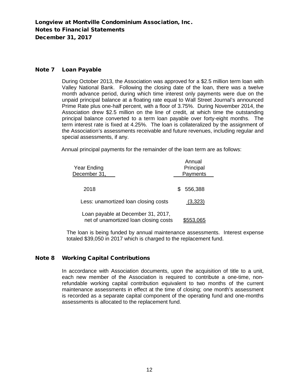### Note 7 Loan Payable

During October 2013, the Association was approved for a \$2.5 million term loan with Valley National Bank. Following the closing date of the loan, there was a twelve month advance period, during which time interest only payments were due on the unpaid principal balance at a floating rate equal to Wall Street Journal's announced Prime Rate plus one-half percent, with a floor of 3.75%. During November 2014, the Association drew \$2.5 million on the line of credit, at which time the outstanding principal balance converted to a term loan payable over forty-eight months. The term interest rate is fixed at 4.25%. The loan is collateralized by the assignment of the Association's assessments receivable and future revenues, including regular and special assessments, if any.

Annual principal payments for the remainder of the loan term are as follows:

| Year Ending<br>December 31,                                                 | Annual<br>Principal<br>Payments |
|-----------------------------------------------------------------------------|---------------------------------|
| 2018                                                                        | 556,388                         |
| Less: unamortized loan closing costs                                        | (3,323)                         |
| Loan payable at December 31, 2017,<br>net of unamortized loan closing costs |                                 |

The loan is being funded by annual maintenance assessments. Interest expense totaled \$39,050 in 2017 which is charged to the replacement fund.

### Note 8 Working Capital Contributions

In accordance with Association documents, upon the acquisition of title to a unit, each new member of the Association is required to contribute a one-time, nonrefundable working capital contribution equivalent to two months of the current maintenance assessments in effect at the time of closing; one month's assessment is recorded as a separate capital component of the operating fund and one-months assessments is allocated to the replacement fund.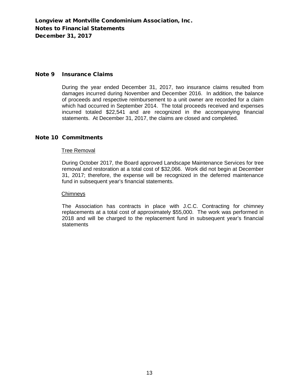### Note 9 Insurance Claims

During the year ended December 31, 2017, two insurance claims resulted from damages incurred during November and December 2016. In addition, the balance of proceeds and respective reimbursement to a unit owner are recorded for a claim which had occurred in September 2014. The total proceeds received and expenses incurred totaled \$22,541 and are recognized in the accompanying financial statements. At December 31, 2017, the claims are closed and completed.

### Note 10 Commitments

#### Tree Removal

During October 2017, the Board approved Landscape Maintenance Services for tree removal and restoration at a total cost of \$32,066. Work did not begin at December 31, 2017; therefore, the expense will be recognized in the deferred maintenance fund in subsequent year's financial statements.

#### **Chimneys**

The Association has contracts in place with J.C.C. Contracting for chimney replacements at a total cost of approximately \$55,000. The work was performed in 2018 and will be charged to the replacement fund in subsequent year's financial statements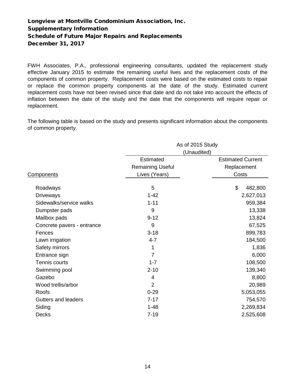## Supplementary Information Longview at Montville Condominium Association, Inc. Schedule of Future Major Repairs and Replacements December 31, 2017

FWH Associates, P.A., professional engineering consultants, updated the replacement study effective January 2015 to estimate the remaining useful lives and the replacement costs of the components of common property. Replacement costs were based on the estimated costs to repair or replace the common property components at the date of the study. Estimated current replacement costs have not been revised since that date and do not take into account the effects of inflation between the date of the study and the date that the components will require repair or replacement.

The following table is based on the study and presents significant information about the components of common property.

|                            |                                             | As of 2015 Study<br>(Unaudited)         |
|----------------------------|---------------------------------------------|-----------------------------------------|
|                            | <b>Estimated</b><br><b>Remaining Useful</b> | <b>Estimated Current</b><br>Replacement |
| <b>Components</b>          | Lives (Years)                               | Costs                                   |
| Roadways                   | 5                                           | \$<br>482,800                           |
| <b>Driveways</b>           | $1 - 42$                                    | 2,627,013                               |
| Sidewalks/service walks    | $1 - 11$                                    | 959,384                                 |
| Dumpster pads              | 9                                           | 13,338                                  |
| Mailbox pads               | $9 - 12$                                    | 13,824                                  |
| Concrete pavers - entrance | 9                                           | 67,525                                  |
| Fences                     | $3 - 18$                                    | 899,783                                 |
| Lawn irrigation            | $4 - 7$                                     | 184,500                                 |
| Safety mirrors             | 1                                           | 1,836                                   |
| Entrance sign              | $\overline{7}$                              | 6,000                                   |
| Tennis courts              | $1 - 7$                                     | 108,500                                 |
| Swimming pool              | $2 - 10$                                    | 139,340                                 |
| Gazebo                     | 4                                           | 8,800                                   |
| Wood trellis/arbor         | $\overline{2}$                              | 20,989                                  |
| Roofs                      | $0 - 29$                                    | 5,053,055                               |
| Gutters and leaders        | $7 - 17$                                    | 754,570                                 |
| Siding                     | $1 - 48$                                    | 2,269,834                               |
| <b>Decks</b>               | $7 - 19$                                    | 2,525,608                               |
|                            |                                             |                                         |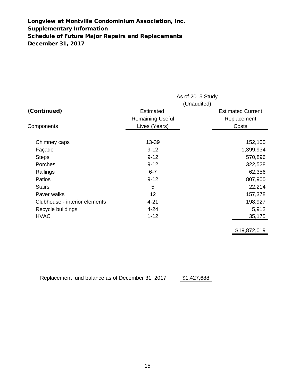December 31, 2017 Supplementary Information Longview at Montville Condominium Association, Inc. Schedule of Future Major Repairs and Replacements

|                               |                         | As of 2015 Study         |
|-------------------------------|-------------------------|--------------------------|
|                               |                         | (Unaudited)              |
| (Continued)                   | <b>Estimated</b>        | <b>Estimated Current</b> |
|                               | <b>Remaining Useful</b> | Replacement              |
| <b>Components</b>             | Lives (Years)           | Costs                    |
|                               |                         |                          |
| Chimney caps                  | 13-39                   | 152,100                  |
| Façade                        | $9 - 12$                | 1,399,934                |
| <b>Steps</b>                  | $9 - 12$                | 570,896                  |
| Porches                       | $9 - 12$                | 322,528                  |
| Railings                      | $6 - 7$                 | 62,356                   |
| <b>Patios</b>                 | $9 - 12$                | 807,900                  |
| <b>Stairs</b>                 | 5                       | 22,214                   |
| Paver walks                   | 12                      | 157,378                  |
| Clubhouse - interior elements | $4 - 21$                | 198,927                  |
| Recycle buildings             | $4 - 24$                | 5,912                    |
| <b>HVAC</b>                   | $1 - 12$                | 35,175                   |
|                               |                         |                          |
|                               |                         | \$19,872,019             |

| Replacement fund balance as of December 31, 2017 | \$1,427,688 |
|--------------------------------------------------|-------------|
|--------------------------------------------------|-------------|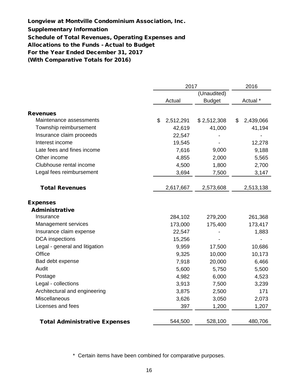Longview at Montville Condominium Association, Inc.

Supplementary Information

Schedule of Total Revenues, Operating Expenses and

Allocations to the Funds - Actual to Budget

For the Year Ended December 31, 2017

(With Comparative Totals for 2016)

|                                      |                 | 2017          |                 |  |  |
|--------------------------------------|-----------------|---------------|-----------------|--|--|
|                                      |                 | (Unaudited)   |                 |  |  |
|                                      | Actual          | <b>Budget</b> | Actual *        |  |  |
| <b>Revenues</b>                      |                 |               |                 |  |  |
| Maintenance assessments              | \$<br>2,512,291 | \$2,512,308   | \$<br>2,439,066 |  |  |
| Township reimbursement               | 42,619          | 41,000        | 41,194          |  |  |
| Insurance claim proceeds             | 22,547          |               |                 |  |  |
| Interest income                      | 19,545          |               | 12,278          |  |  |
| Late fees and fines income           | 7,616           | 9,000         | 9,188           |  |  |
| Other income                         | 4,855           | 2,000         | 5,565           |  |  |
| Clubhouse rental income              | 4,500           | 1,800         | 2,700           |  |  |
| Legal fees reimbursement             | 3,694           | 7,500         | 3,147           |  |  |
| <b>Total Revenues</b>                | 2,617,667       | 2,573,608     | 2,513,138       |  |  |
|                                      |                 |               |                 |  |  |
| <b>Expenses</b>                      |                 |               |                 |  |  |
| <b>Administrative</b>                |                 |               |                 |  |  |
| Insurance                            | 284,102         | 279,200       | 261,368         |  |  |
| Management services                  | 173,000         | 175,400       | 173,417         |  |  |
| Insurance claim expense              | 22,547          |               | 1,883           |  |  |
| <b>DCA</b> inspections               | 15,256          |               |                 |  |  |
| Legal - general and litigation       | 9,959           | 17,500        | 10,686          |  |  |
| Office                               | 9,325           | 10,000        | 10,173          |  |  |
| Bad debt expense                     | 7,918           | 20,000        | 6,466           |  |  |
| Audit                                | 5,600           | 5,750         | 5,500           |  |  |
| Postage                              | 4,982           | 6,000         | 4,523           |  |  |
| Legal - collections                  | 3,913           | 7,500         | 3,239           |  |  |
| Architectural and engineering        | 3,875           | 2,500         | 171             |  |  |
| Miscellaneous                        | 3,626           | 3,050         | 2,073           |  |  |
| Licenses and fees                    | 397             | 1,200         | 1,207           |  |  |
| <b>Total Administrative Expenses</b> | 544,500         | 528,100       | 480,706         |  |  |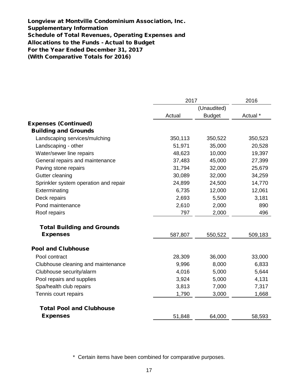Schedule of Total Revenues, Operating Expenses and For the Year Ended December 31, 2017 Longview at Montville Condominium Association, Inc. (With Comparative Totals for 2016) Supplementary Information Allocations to the Funds - Actual to Budget

|                                       | 2017        |               | 2016     |  |
|---------------------------------------|-------------|---------------|----------|--|
|                                       | (Unaudited) |               |          |  |
|                                       | Actual      | <b>Budget</b> | Actual * |  |
| <b>Expenses (Continued)</b>           |             |               |          |  |
| <b>Building and Grounds</b>           |             |               |          |  |
| Landscaping services/mulching         | 350,113     | 350,522       | 350,523  |  |
| Landscaping - other                   | 51,971      | 35,000        | 20,528   |  |
| Water/sewer line repairs              | 48,623      | 10,000        | 19,397   |  |
| General repairs and maintenance       | 37,483      | 45,000        | 27,399   |  |
| Paving stone repairs                  | 31,794      | 32,000        | 25,679   |  |
| Gutter cleaning                       | 30,089      | 32,000        | 34,259   |  |
| Sprinkler system operation and repair | 24,899      | 24,500        | 14,770   |  |
| Exterminating                         | 6,735       | 12,000        | 12,061   |  |
| Deck repairs                          | 2,693       | 5,500         | 3,181    |  |
| Pond maintenance                      | 2,610       | 2,000         | 890      |  |
| Roof repairs                          | 797         | 2,000         | 496      |  |
| <b>Total Building and Grounds</b>     |             |               |          |  |
| <b>Expenses</b>                       | 587,807     | 550,522       | 509,183  |  |
| <b>Pool and Clubhouse</b>             |             |               |          |  |
| Pool contract                         | 28,309      | 36,000        | 33,000   |  |
| Clubhouse cleaning and maintenance    | 9,996       | 8,000         | 6,833    |  |
| Clubhouse security/alarm              | 4,016       | 5,000         | 5,644    |  |
| Pool repairs and supplies             | 3,924       | 5,000         | 4,131    |  |
| Spa/health club repairs               | 3,813       | 7,000         | 7,317    |  |
| Tennis court repairs                  | 1,790       | 3,000         | 1,668    |  |
| <b>Total Pool and Clubhouse</b>       |             |               |          |  |
| <b>Expenses</b>                       | 51,848      | 64,000        | 58,593   |  |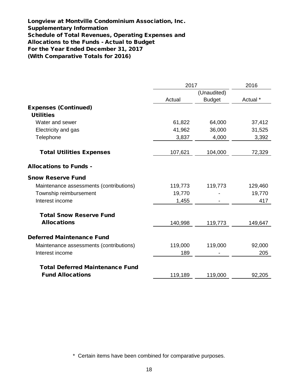(With Comparative Totals for 2016) Longview at Montville Condominium Association, Inc. Schedule of Total Revenues, Operating Expenses and For the Year Ended December 31, 2017 Supplementary Information Allocations to the Funds - Actual to Budget

|                                         | 2017    |               | 2016     |
|-----------------------------------------|---------|---------------|----------|
|                                         |         | (Unaudited)   |          |
|                                         | Actual  | <b>Budget</b> | Actual * |
| <b>Expenses (Continued)</b>             |         |               |          |
| <b>Utilities</b>                        |         |               |          |
| Water and sewer                         | 61,822  | 64,000        | 37,412   |
| Electricity and gas                     | 41,962  | 36,000        | 31,525   |
| Telephone                               | 3,837   | 4,000         | 3,392    |
| <b>Total Utilities Expenses</b>         | 107,621 | 104,000       | 72,329   |
| <b>Allocations to Funds -</b>           |         |               |          |
| <b>Snow Reserve Fund</b>                |         |               |          |
| Maintenance assessments (contributions) | 119,773 | 119,773       | 129,460  |
| Township reimbursement                  | 19,770  |               | 19,770   |
| Interest income                         | 1,455   |               | 417      |
| <b>Total Snow Reserve Fund</b>          |         |               |          |
| <b>Allocations</b>                      | 140,998 | 119,773       | 149,647  |
| <b>Deferred Maintenance Fund</b>        |         |               |          |
| Maintenance assessments (contributions) | 119,000 | 119,000       | 92,000   |
| Interest income                         | 189     |               | 205      |
| <b>Total Deferred Maintenance Fund</b>  |         |               |          |
| <b>Fund Allocations</b>                 |         |               |          |
|                                         | 119,189 | 119,000       | 92,205   |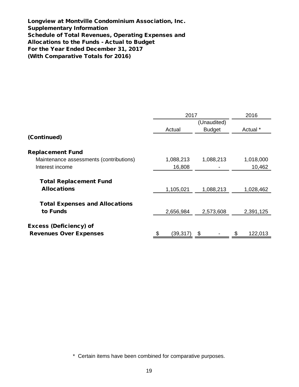For the Year Ended December 31, 2017 (With Comparative Totals for 2016) Supplementary Information Allocations to the Funds - Actual to Budget Longview at Montville Condominium Association, Inc. Schedule of Total Revenues, Operating Expenses and

|                                                                | 2017        |               | 2016      |
|----------------------------------------------------------------|-------------|---------------|-----------|
|                                                                | (Unaudited) |               |           |
|                                                                | Actual      | <b>Budget</b> | Actual *  |
| (Continued)                                                    |             |               |           |
| <b>Replacement Fund</b>                                        |             |               |           |
| Maintenance assessments (contributions)                        | 1,088,213   | 1,088,213     | 1,018,000 |
| Interest income                                                | 16,808      |               | 10,462    |
| <b>Total Replacement Fund</b><br><b>Allocations</b>            | 1,105,021   | 1,088,213     | 1,028,462 |
| <b>Total Expenses and Allocations</b><br>to Funds              | 2,656,984   | 2,573,608     | 2,391,125 |
| <b>Excess (Deficiency) of</b><br><b>Revenues Over Expenses</b> | (39, 317)   | - \$          | 122,013   |